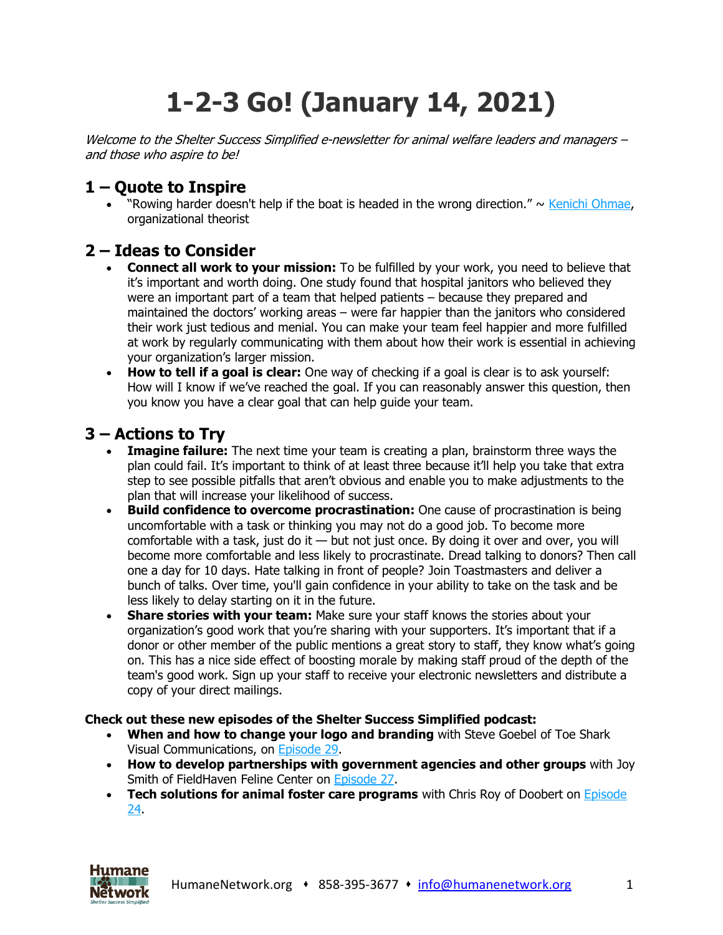# **1-2-3 Go! (January 14, 2021)**

Welcome to the Shelter Success Simplified e-newsletter for animal welfare leaders and managers – and those who aspire to be!

## **1 – Quote to Inspire**

• "Rowing harder doesn't help if the boat is headed in the wrong direction."  $\sim$  Kenichi [Ohmae,](https://www.humanenetwork.org/so/43NR_g8G0/c?w=t-2Pp5qdtJQxTb6wzE4f8ouvA6niJ5zV11WQBqpPEBM.eyJ1IjoiaHR0cHM6Ly9lbi53aWtpcGVkaWEub3JnL3dpa2kvS2VuaWNoaV9PaG1hZSIsInIiOiI3OTkxNTMyYi05ZTI2LTQ3ODEtNDc2Ny0zYzhhYmFkNDAwYzUiLCJtIjoibHAifQ) organizational theorist

### **2 – Ideas to Consider**

- **Connect all work to your mission:** To be fulfilled by your work, you need to believe that it's important and worth doing. One study found that hospital janitors who believed they were an important part of a team that helped patients – because they prepared and maintained the doctors' working areas – were far happier than the janitors who considered their work just tedious and menial. You can make your team feel happier and more fulfilled at work by regularly communicating with them about how their work is essential in achieving your organization's larger mission.
- **How to tell if a goal is clear:** One way of checking if a goal is clear is to ask yourself: How will I know if we've reached the goal. If you can reasonably answer this question, then you know you have a clear goal that can help guide your team.

### **3 – Actions to Try**

- **Imagine failure:** The next time your team is creating a plan, brainstorm three ways the plan could fail. It's important to think of at least three because it'll help you take that extra step to see possible pitfalls that aren't obvious and enable you to make adjustments to the plan that will increase your likelihood of success.
- **Build confidence to overcome procrastination:** One cause of procrastination is being uncomfortable with a task or thinking you may not do a good job. To become more comfortable with a task, just do it  $-$  but not just once. By doing it over and over, you will become more comfortable and less likely to procrastinate. Dread talking to donors? Then call one a day for 10 days. Hate talking in front of people? Join Toastmasters and deliver a bunch of talks. Over time, you'll gain confidence in your ability to take on the task and be less likely to delay starting on it in the future.
- **Share stories with your team:** Make sure your staff knows the stories about your organization's good work that you're sharing with your supporters. It's important that if a donor or other member of the public mentions a great story to staff, they know what's going on. This has a nice side effect of boosting morale by making staff proud of the depth of the team's good work. Sign up your staff to receive your electronic newsletters and distribute a copy of your direct mailings.

#### **Check out these new episodes of the Shelter Success Simplified podcast:**

- **When and how to change your logo and branding** with Steve Goebel of Toe Shark Visual Communications, on [Episode](https://www.humanenetwork.org/so/43NR_g8G0/c?w=P4y7IgyjtLtcqv-fc_LaCOaaE_Nmesf8T8uhLPp_eoQ.eyJ1IjoiaHR0cHM6Ly93d3cuaHVtYW5lbmV0d29yay5vcmcvZXAyOS1zdGV2ZS1nb2ViZWwiLCJyIjoiNzk5MTUzMmItOWUyNi00NzgxLTQ3NjctM2M4YWJhZDQwMGM1IiwibSI6ImxwIn0) 29.
- **How to develop partnerships with government agencies and other groups** with Joy Smith of FieldHaven Feline Center on [Episode](https://www.humanenetwork.org/so/43NR_g8G0/c?w=y42y52aSJPrkEo5xpu9BUkdjUjp7ho4TzDRyOSNzwxM.eyJ1IjoiaHR0cHM6Ly93d3cuaHVtYW5lbmV0d29yay5vcmcvZXAyNy1qb3ktc21pdGgiLCJyIjoiNzk5MTUzMmItOWUyNi00NzgxLTQ3NjctM2M4YWJhZDQwMGM1IiwibSI6ImxwIn0) 27.
- **Tech solutions for animal foster care programs** with Chris Roy of Doobert on [Episode](https://www.humanenetwork.org/so/43NR_g8G0/c?w=vm37V0qb1Fzd1kAd-VL20YD4H4ltl0IarcU0IkK4kXI.eyJ1IjoiaHR0cHM6Ly93d3cuaHVtYW5lbmV0d29yay5vcmcvZXAyNC1jaHJpcy1yb3kiLCJyIjoiNzk5MTUzMmItOWUyNi00NzgxLTQ3NjctM2M4YWJhZDQwMGM1IiwibSI6ImxwIn0) [24.](https://www.humanenetwork.org/so/43NR_g8G0/c?w=vm37V0qb1Fzd1kAd-VL20YD4H4ltl0IarcU0IkK4kXI.eyJ1IjoiaHR0cHM6Ly93d3cuaHVtYW5lbmV0d29yay5vcmcvZXAyNC1jaHJpcy1yb3kiLCJyIjoiNzk5MTUzMmItOWUyNi00NzgxLTQ3NjctM2M4YWJhZDQwMGM1IiwibSI6ImxwIn0)